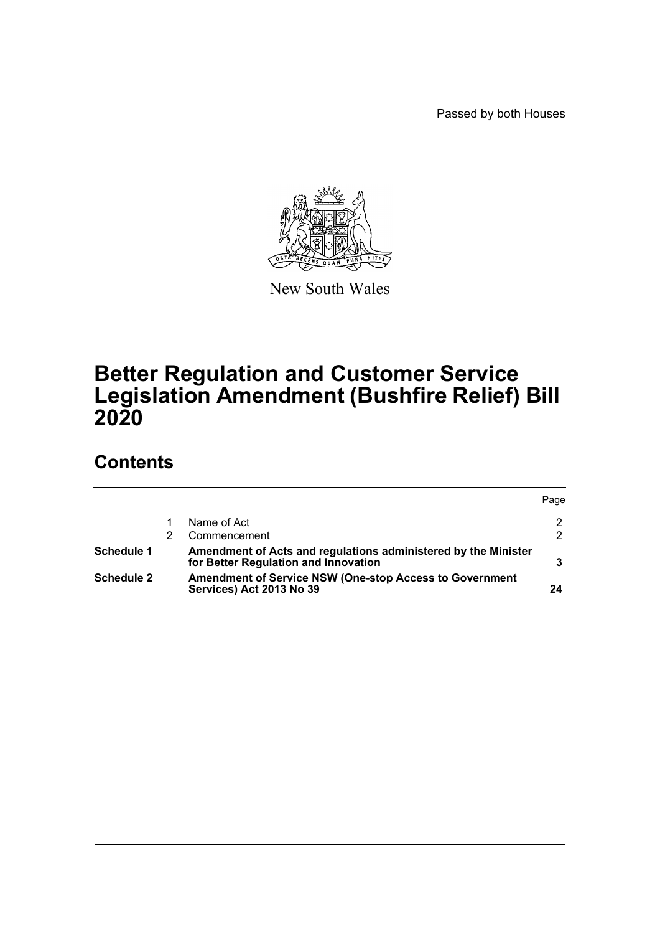Passed by both Houses



New South Wales

# **Better Regulation and Customer Service Legislation Amendment (Bushfire Relief) Bill 2020**

# **Contents**

|                   |                                                                                                        | Page |
|-------------------|--------------------------------------------------------------------------------------------------------|------|
|                   | Name of Act                                                                                            | 2    |
|                   | Commencement                                                                                           | າ    |
| Schedule 1        | Amendment of Acts and regulations administered by the Minister<br>for Better Regulation and Innovation |      |
| <b>Schedule 2</b> | <b>Amendment of Service NSW (One-stop Access to Government</b><br>Services) Act 2013 No 39             | 24   |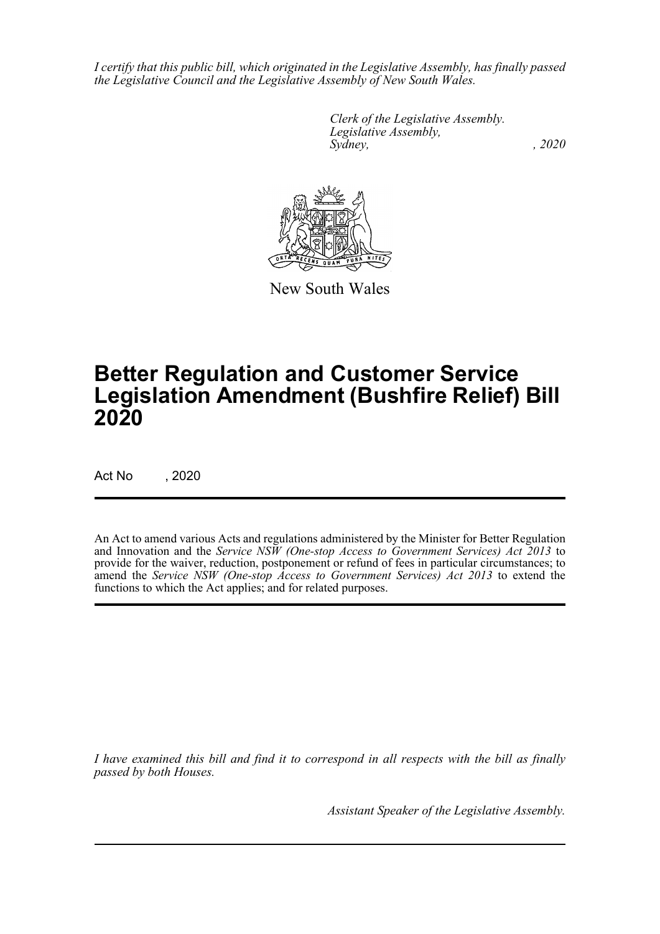*I certify that this public bill, which originated in the Legislative Assembly, has finally passed the Legislative Council and the Legislative Assembly of New South Wales.*

> *Clerk of the Legislative Assembly. Legislative Assembly, Sydney, , 2020*



New South Wales

# **Better Regulation and Customer Service Legislation Amendment (Bushfire Relief) Bill 2020**

Act No , 2020

An Act to amend various Acts and regulations administered by the Minister for Better Regulation and Innovation and the *Service NSW (One-stop Access to Government Services) Act 2013* to provide for the waiver, reduction, postponement or refund of fees in particular circumstances; to amend the *Service NSW (One-stop Access to Government Services) Act 2013* to extend the functions to which the Act applies; and for related purposes.

*I have examined this bill and find it to correspond in all respects with the bill as finally passed by both Houses.*

*Assistant Speaker of the Legislative Assembly.*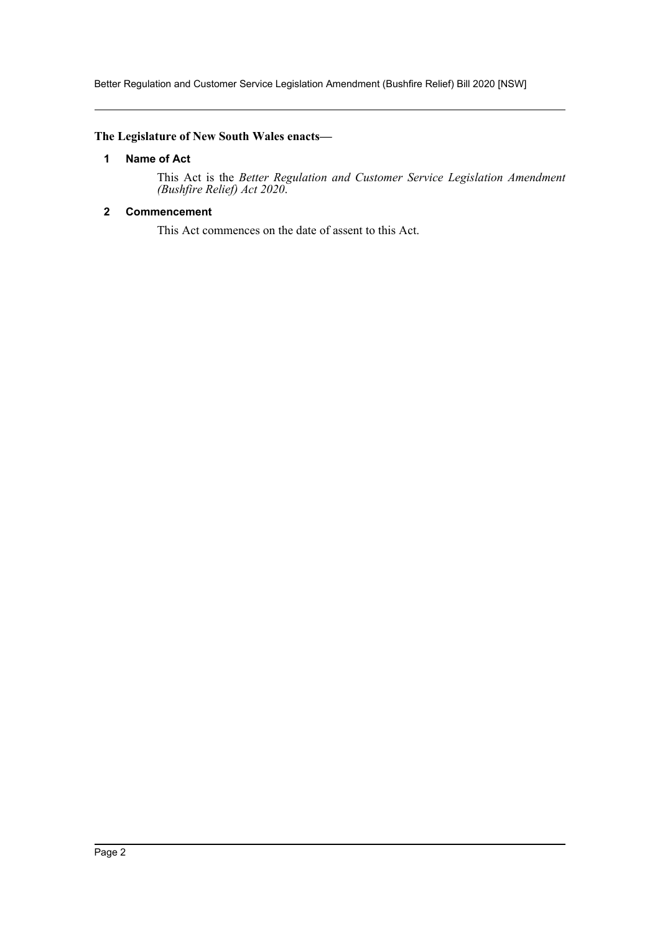Better Regulation and Customer Service Legislation Amendment (Bushfire Relief) Bill 2020 [NSW]

## <span id="page-2-0"></span>**The Legislature of New South Wales enacts—**

## **1 Name of Act**

This Act is the *Better Regulation and Customer Service Legislation Amendment (Bushfire Relief) Act 2020*.

## <span id="page-2-1"></span>**2 Commencement**

This Act commences on the date of assent to this Act.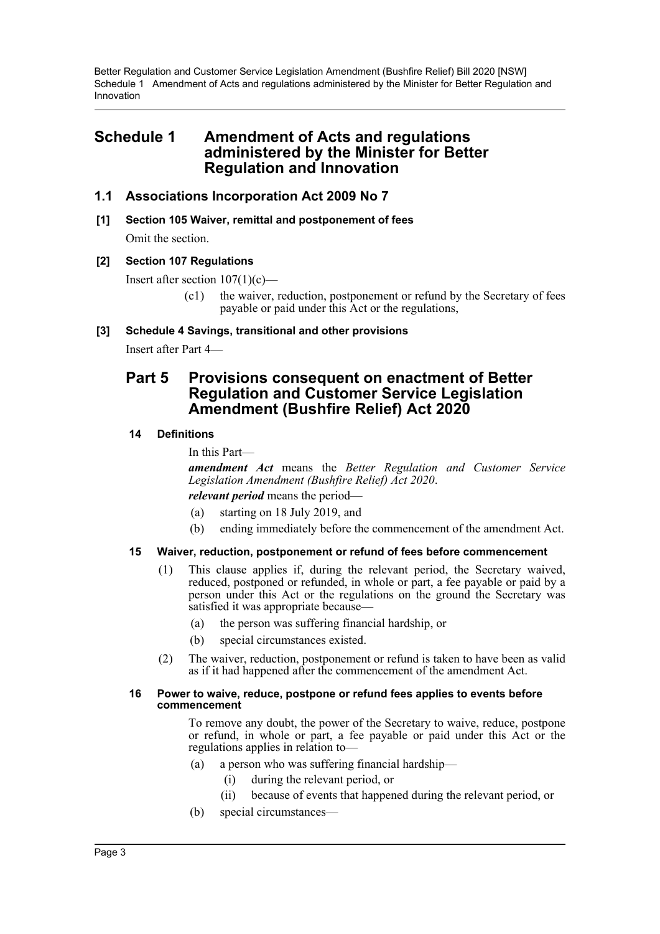## <span id="page-3-0"></span>**Schedule 1 Amendment of Acts and regulations administered by the Minister for Better Regulation and Innovation**

## **1.1 Associations Incorporation Act 2009 No 7**

**[1] Section 105 Waiver, remittal and postponement of fees** Omit the section.

#### **[2] Section 107 Regulations**

Insert after section  $107(1)(c)$ —

(c1) the waiver, reduction, postponement or refund by the Secretary of fees payable or paid under this Act or the regulations,

#### **[3] Schedule 4 Savings, transitional and other provisions**

Insert after Part 4—

## **Part 5 Provisions consequent on enactment of Better Regulation and Customer Service Legislation Amendment (Bushfire Relief) Act 2020**

#### **14 Definitions**

In this Part—

*amendment Act* means the *Better Regulation and Customer Service Legislation Amendment (Bushfire Relief) Act 2020*.

*relevant period* means the period—

- (a) starting on 18 July 2019, and
- (b) ending immediately before the commencement of the amendment Act.

### **15 Waiver, reduction, postponement or refund of fees before commencement**

- (1) This clause applies if, during the relevant period, the Secretary waived, reduced, postponed or refunded, in whole or part, a fee payable or paid by a person under this Act or the regulations on the ground the Secretary was satisfied it was appropriate because—
	- (a) the person was suffering financial hardship, or
	- (b) special circumstances existed.
- (2) The waiver, reduction, postponement or refund is taken to have been as valid as if it had happened after the commencement of the amendment Act.

#### **16 Power to waive, reduce, postpone or refund fees applies to events before commencement**

To remove any doubt, the power of the Secretary to waive, reduce, postpone or refund, in whole or part, a fee payable or paid under this Act or the regulations applies in relation to—

- (a) a person who was suffering financial hardship—
	- (i) during the relevant period, or
	- (ii) because of events that happened during the relevant period, or
- (b) special circumstances—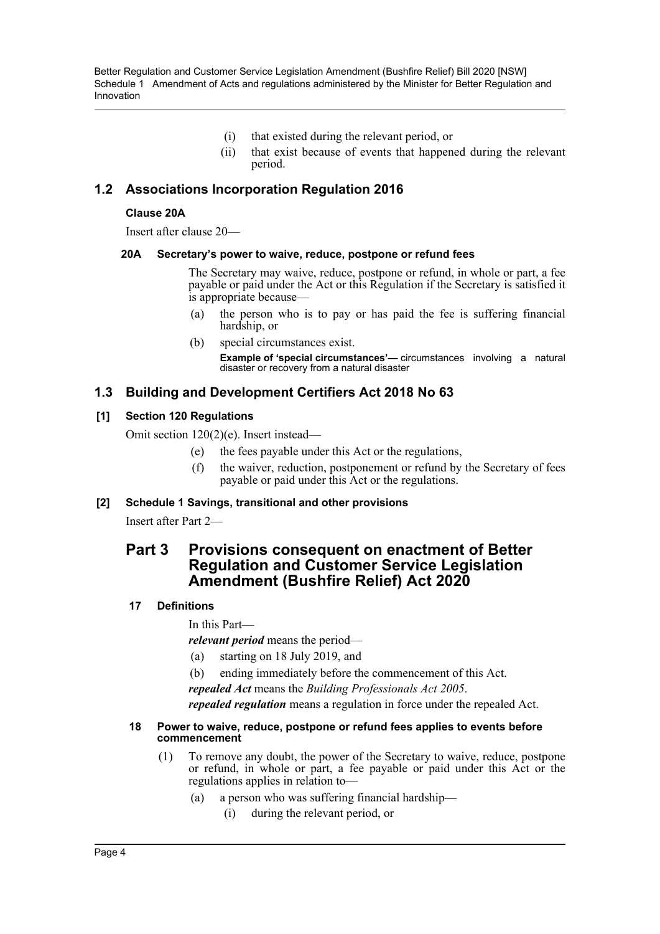- (i) that existed during the relevant period, or
- (ii) that exist because of events that happened during the relevant period.

## **1.2 Associations Incorporation Regulation 2016**

## **Clause 20A**

Insert after clause 20—

#### **20A Secretary's power to waive, reduce, postpone or refund fees**

The Secretary may waive, reduce, postpone or refund, in whole or part, a fee payable or paid under the Act or this Regulation if the Secretary is satisfied it is appropriate because—

- (a) the person who is to pay or has paid the fee is suffering financial hardship, or
- (b) special circumstances exist.

**Example of 'special circumstances'—** circumstances involving a natural disaster or recovery from a natural disaster

## **1.3 Building and Development Certifiers Act 2018 No 63**

## **[1] Section 120 Regulations**

Omit section 120(2)(e). Insert instead—

- (e) the fees payable under this Act or the regulations,
- (f) the waiver, reduction, postponement or refund by the Secretary of fees payable or paid under this Act or the regulations.

## **[2] Schedule 1 Savings, transitional and other provisions**

Insert after Part 2—

## **Part 3 Provisions consequent on enactment of Better Regulation and Customer Service Legislation Amendment (Bushfire Relief) Act 2020**

### **17 Definitions**

In this Part—

*relevant period* means the period—

- (a) starting on 18 July 2019, and
- (b) ending immediately before the commencement of this Act.

*repealed Act* means the *Building Professionals Act 2005*.

*repealed regulation* means a regulation in force under the repealed Act.

#### **18 Power to waive, reduce, postpone or refund fees applies to events before commencement**

- (1) To remove any doubt, the power of the Secretary to waive, reduce, postpone or refund, in whole or part, a fee payable or paid under this Act or the regulations applies in relation to—
	- (a) a person who was suffering financial hardship—
		- (i) during the relevant period, or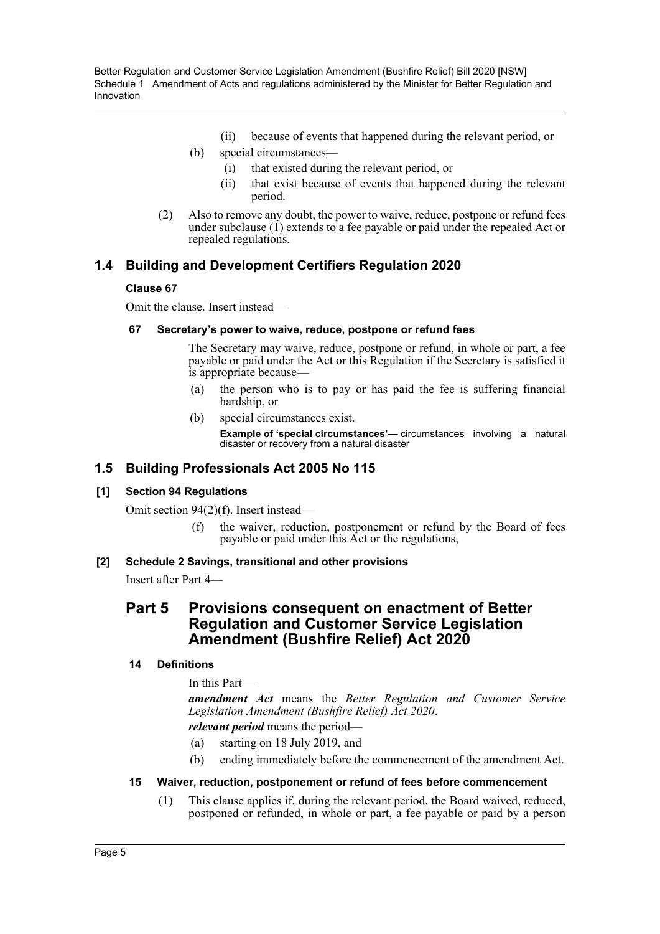- (ii) because of events that happened during the relevant period, or
- (b) special circumstances—
	- (i) that existed during the relevant period, or
	- (ii) that exist because of events that happened during the relevant period.
- (2) Also to remove any doubt, the power to waive, reduce, postpone or refund fees under subclause  $(1)$  extends to a fee payable or paid under the repealed Act or repealed regulations.

## **1.4 Building and Development Certifiers Regulation 2020**

## **Clause 67**

Omit the clause. Insert instead—

### **67 Secretary's power to waive, reduce, postpone or refund fees**

The Secretary may waive, reduce, postpone or refund, in whole or part, a fee payable or paid under the Act or this Regulation if the Secretary is satisfied it is appropriate because—

- (a) the person who is to pay or has paid the fee is suffering financial hardship, or
- (b) special circumstances exist.

**Example of 'special circumstances'—** circumstances involving a natural disaster or recovery from a natural disaster

## **1.5 Building Professionals Act 2005 No 115**

### **[1] Section 94 Regulations**

Omit section 94(2)(f). Insert instead—

(f) the waiver, reduction, postponement or refund by the Board of fees payable or paid under this Act or the regulations,

### **[2] Schedule 2 Savings, transitional and other provisions**

Insert after Part 4—

## **Part 5 Provisions consequent on enactment of Better Regulation and Customer Service Legislation Amendment (Bushfire Relief) Act 2020**

### **14 Definitions**

In this Part—

*amendment Act* means the *Better Regulation and Customer Service Legislation Amendment (Bushfire Relief) Act 2020*. *relevant period* means the period—

(a) starting on 18 July 2019, and

(b) ending immediately before the commencement of the amendment Act.

### **15 Waiver, reduction, postponement or refund of fees before commencement**

(1) This clause applies if, during the relevant period, the Board waived, reduced, postponed or refunded, in whole or part, a fee payable or paid by a person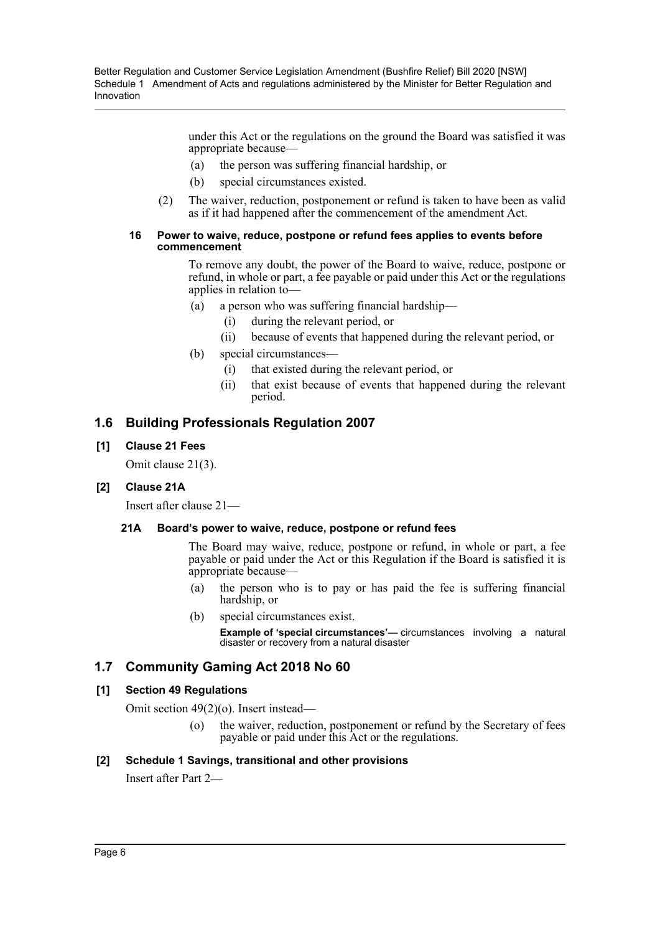> under this Act or the regulations on the ground the Board was satisfied it was appropriate because—

- (a) the person was suffering financial hardship, or
- (b) special circumstances existed.
- (2) The waiver, reduction, postponement or refund is taken to have been as valid as if it had happened after the commencement of the amendment Act.

#### **16 Power to waive, reduce, postpone or refund fees applies to events before commencement**

To remove any doubt, the power of the Board to waive, reduce, postpone or refund, in whole or part, a fee payable or paid under this Act or the regulations applies in relation to—

- (a) a person who was suffering financial hardship—
	- (i) during the relevant period, or
	- (ii) because of events that happened during the relevant period, or
- (b) special circumstances—
	- (i) that existed during the relevant period, or
	- (ii) that exist because of events that happened during the relevant period.

## **1.6 Building Professionals Regulation 2007**

### **[1] Clause 21 Fees**

Omit clause 21(3).

### **[2] Clause 21A**

Insert after clause 21—

#### **21A Board's power to waive, reduce, postpone or refund fees**

The Board may waive, reduce, postpone or refund, in whole or part, a fee payable or paid under the Act or this Regulation if the Board is satisfied it is appropriate because—

- (a) the person who is to pay or has paid the fee is suffering financial hardship, or
- (b) special circumstances exist.

**Example of 'special circumstances'—** circumstances involving a natural disaster or recovery from a natural disaster

## **1.7 Community Gaming Act 2018 No 60**

#### **[1] Section 49 Regulations**

Omit section 49(2)(o). Insert instead—

(o) the waiver, reduction, postponement or refund by the Secretary of fees payable or paid under this Act or the regulations.

### **[2] Schedule 1 Savings, transitional and other provisions**

Insert after Part 2—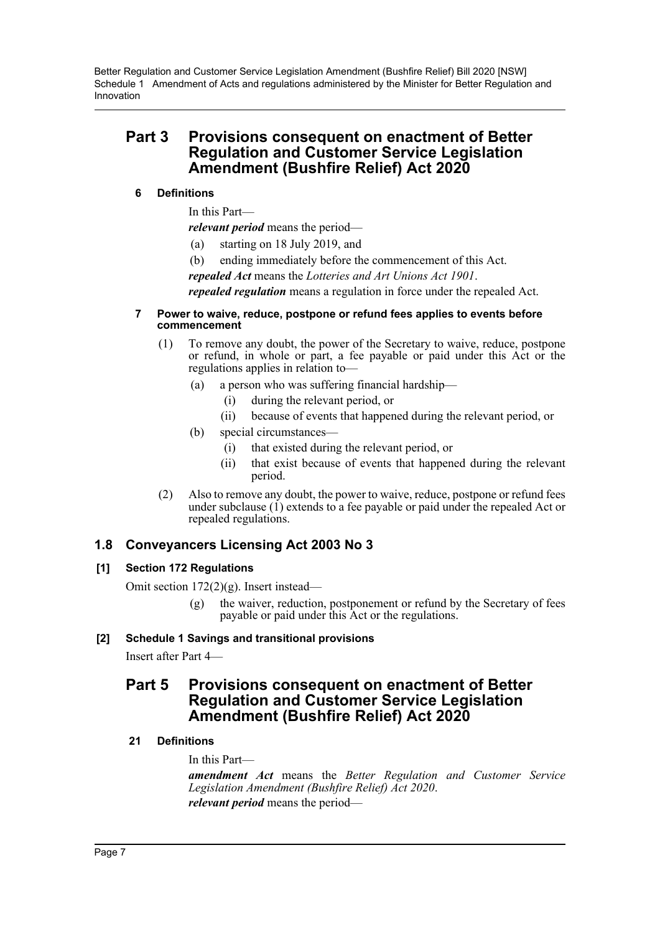## **Part 3 Provisions consequent on enactment of Better Regulation and Customer Service Legislation Amendment (Bushfire Relief) Act 2020**

## **6 Definitions**

In this Part—

*relevant period* means the period—

- (a) starting on 18 July 2019, and
- (b) ending immediately before the commencement of this Act.

*repealed Act* means the *Lotteries and Art Unions Act 1901*.

*repealed regulation* means a regulation in force under the repealed Act.

#### **7 Power to waive, reduce, postpone or refund fees applies to events before commencement**

- (1) To remove any doubt, the power of the Secretary to waive, reduce, postpone or refund, in whole or part, a fee payable or paid under this Act or the regulations applies in relation to—
	- (a) a person who was suffering financial hardship—
		- (i) during the relevant period, or
		- (ii) because of events that happened during the relevant period, or
	- (b) special circumstances—
		- (i) that existed during the relevant period, or
		- (ii) that exist because of events that happened during the relevant period.
- (2) Also to remove any doubt, the power to waive, reduce, postpone or refund fees under subclause (1) extends to a fee payable or paid under the repealed Act or repealed regulations.

## **1.8 Conveyancers Licensing Act 2003 No 3**

## **[1] Section 172 Regulations**

Omit section 172(2)(g). Insert instead—

the waiver, reduction, postponement or refund by the Secretary of fees payable or paid under this Act or the regulations.

## **[2] Schedule 1 Savings and transitional provisions**

Insert after Part 4—

## **Part 5 Provisions consequent on enactment of Better Regulation and Customer Service Legislation Amendment (Bushfire Relief) Act 2020**

## **21 Definitions**

In this Part—

*amendment Act* means the *Better Regulation and Customer Service Legislation Amendment (Bushfire Relief) Act 2020*. *relevant period* means the period—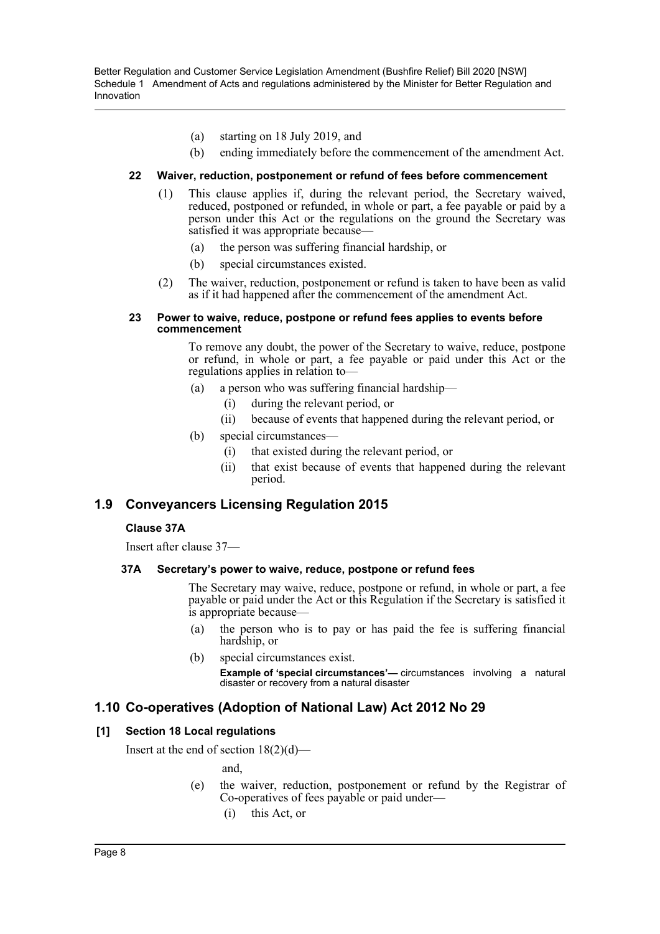- (a) starting on 18 July 2019, and
- (b) ending immediately before the commencement of the amendment Act.

#### **22 Waiver, reduction, postponement or refund of fees before commencement**

- (1) This clause applies if, during the relevant period, the Secretary waived, reduced, postponed or refunded, in whole or part, a fee payable or paid by a person under this Act or the regulations on the ground the Secretary was satisfied it was appropriate because—
	- (a) the person was suffering financial hardship, or
	- (b) special circumstances existed.
- (2) The waiver, reduction, postponement or refund is taken to have been as valid as if it had happened after the commencement of the amendment Act.

#### **23 Power to waive, reduce, postpone or refund fees applies to events before commencement**

To remove any doubt, the power of the Secretary to waive, reduce, postpone or refund, in whole or part, a fee payable or paid under this Act or the regulations applies in relation to—

- (a) a person who was suffering financial hardship—
	- (i) during the relevant period, or
	- (ii) because of events that happened during the relevant period, or
- (b) special circumstances—
	- (i) that existed during the relevant period, or
	- (ii) that exist because of events that happened during the relevant period.

## **1.9 Conveyancers Licensing Regulation 2015**

### **Clause 37A**

Insert after clause 37—

### **37A Secretary's power to waive, reduce, postpone or refund fees**

The Secretary may waive, reduce, postpone or refund, in whole or part, a fee payable or paid under the Act or this Regulation if the Secretary is satisfied it is appropriate because—

- (a) the person who is to pay or has paid the fee is suffering financial hardship, or
- (b) special circumstances exist. **Example of 'special circumstances'—** circumstances involving a natural disaster or recovery from a natural disaster

## **1.10 Co-operatives (Adoption of National Law) Act 2012 No 29**

### **[1] Section 18 Local regulations**

Insert at the end of section  $18(2)(d)$ —

and,

- (e) the waiver, reduction, postponement or refund by the Registrar of Co-operatives of fees payable or paid under—
	- (i) this Act, or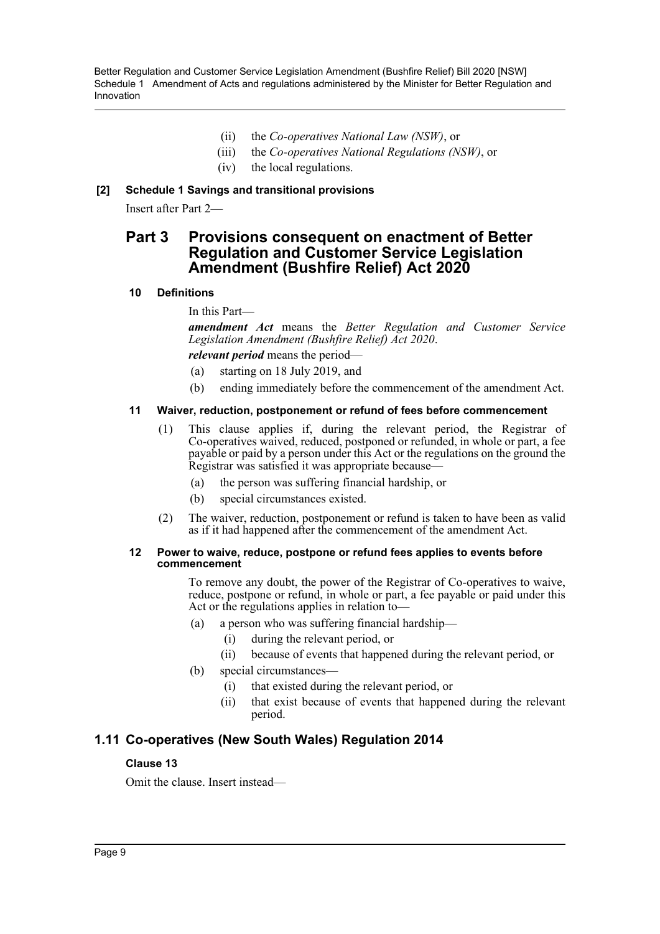- (ii) the *Co-operatives National Law (NSW)*, or
- (iii) the *Co-operatives National Regulations (NSW)*, or
- (iv) the local regulations.

## **[2] Schedule 1 Savings and transitional provisions**

Insert after Part 2—

## **Part 3 Provisions consequent on enactment of Better Regulation and Customer Service Legislation Amendment (Bushfire Relief) Act 2020**

### **10 Definitions**

In this Part—

*amendment Act* means the *Better Regulation and Customer Service Legislation Amendment (Bushfire Relief) Act 2020*.

*relevant period* means the period—

- (a) starting on 18 July 2019, and
- (b) ending immediately before the commencement of the amendment Act.

#### **11 Waiver, reduction, postponement or refund of fees before commencement**

- (1) This clause applies if, during the relevant period, the Registrar of Co-operatives waived, reduced, postponed or refunded, in whole or part, a fee payable or paid by a person under this Act or the regulations on the ground the Registrar was satisfied it was appropriate because—
	- (a) the person was suffering financial hardship, or
	- (b) special circumstances existed.
- (2) The waiver, reduction, postponement or refund is taken to have been as valid as if it had happened after the commencement of the amendment Act.

#### **12 Power to waive, reduce, postpone or refund fees applies to events before commencement**

To remove any doubt, the power of the Registrar of Co-operatives to waive, reduce, postpone or refund, in whole or part, a fee payable or paid under this Act or the regulations applies in relation to—

- (a) a person who was suffering financial hardship—
	- (i) during the relevant period, or
	- (ii) because of events that happened during the relevant period, or
- (b) special circumstances—
	- (i) that existed during the relevant period, or
	- (ii) that exist because of events that happened during the relevant period.

## **1.11 Co-operatives (New South Wales) Regulation 2014**

### **Clause 13**

Omit the clause. Insert instead—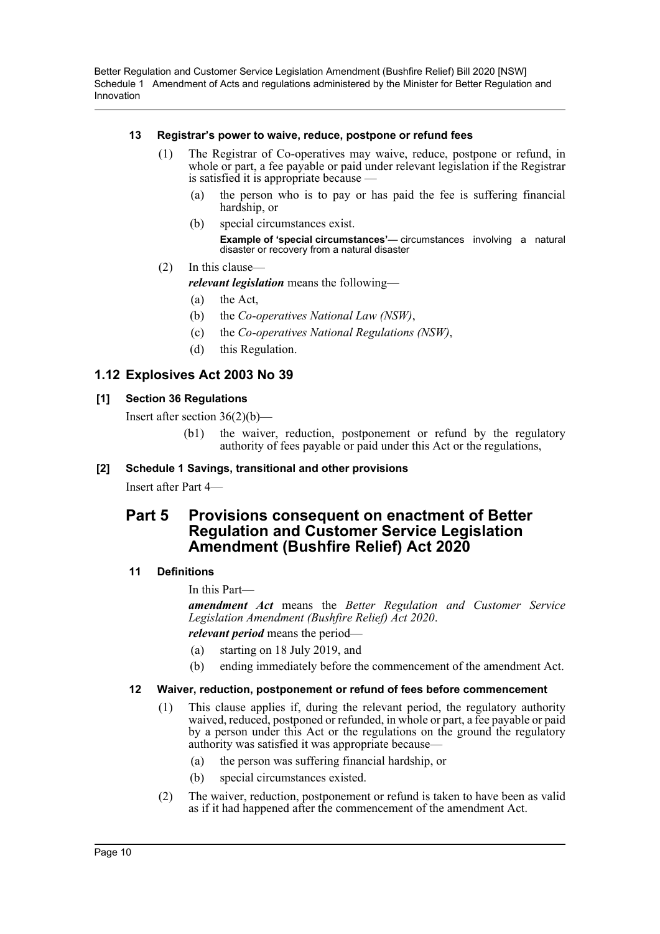### **13 Registrar's power to waive, reduce, postpone or refund fees**

- (1) The Registrar of Co-operatives may waive, reduce, postpone or refund, in whole or part, a fee payable or paid under relevant legislation if the Registrar is satisfied it is appropriate because —
	- (a) the person who is to pay or has paid the fee is suffering financial hardship, or
	- (b) special circumstances exist.
		- **Example of 'special circumstances'—** circumstances involving a natural disaster or recovery from a natural disaster
- (2) In this clause—

*relevant legislation* means the following—

- (a) the Act,
- (b) the *Co-operatives National Law (NSW)*,
- (c) the *Co-operatives National Regulations (NSW)*,
- (d) this Regulation.

## **1.12 Explosives Act 2003 No 39**

## **[1] Section 36 Regulations**

Insert after section  $36(2)(b)$ —

(b1) the waiver, reduction, postponement or refund by the regulatory authority of fees payable or paid under this Act or the regulations,

## **[2] Schedule 1 Savings, transitional and other provisions**

Insert after Part 4—

## **Part 5 Provisions consequent on enactment of Better Regulation and Customer Service Legislation Amendment (Bushfire Relief) Act 2020**

## **11 Definitions**

In this Part—

*amendment Act* means the *Better Regulation and Customer Service Legislation Amendment (Bushfire Relief) Act 2020*. *relevant period* means the period—

- (a) starting on 18 July 2019, and
- (b) ending immediately before the commencement of the amendment Act.

### **12 Waiver, reduction, postponement or refund of fees before commencement**

- (1) This clause applies if, during the relevant period, the regulatory authority waived, reduced, postponed or refunded, in whole or part, a fee payable or paid by a person under this Act or the regulations on the ground the regulatory authority was satisfied it was appropriate because—
	- (a) the person was suffering financial hardship, or
	- (b) special circumstances existed.
- (2) The waiver, reduction, postponement or refund is taken to have been as valid as if it had happened after the commencement of the amendment Act.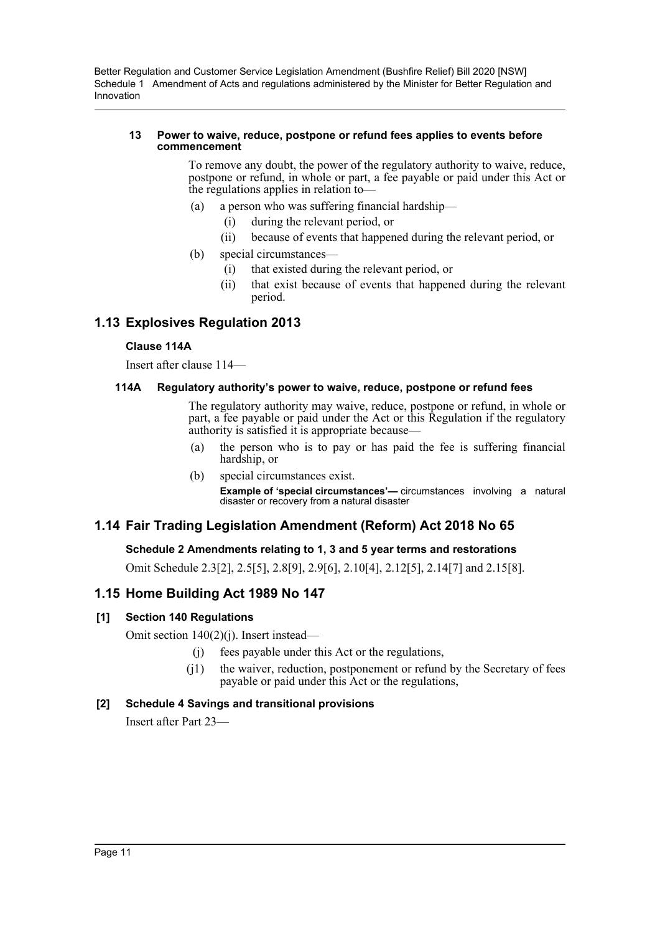#### **13 Power to waive, reduce, postpone or refund fees applies to events before commencement**

To remove any doubt, the power of the regulatory authority to waive, reduce, postpone or refund, in whole or part, a fee payable or paid under this Act or the regulations applies in relation to—

- (a) a person who was suffering financial hardship—
	- (i) during the relevant period, or
	- (ii) because of events that happened during the relevant period, or
- (b) special circumstances—
	- (i) that existed during the relevant period, or
	- (ii) that exist because of events that happened during the relevant period.

## **1.13 Explosives Regulation 2013**

#### **Clause 114A**

Insert after clause 114—

#### **114A Regulatory authority's power to waive, reduce, postpone or refund fees**

The regulatory authority may waive, reduce, postpone or refund, in whole or part, a fee payable or paid under the Act or this Regulation if the regulatory authority is satisfied it is appropriate because—

- (a) the person who is to pay or has paid the fee is suffering financial hardship, or
- (b) special circumstances exist.

**Example of 'special circumstances'—** circumstances involving a natural disaster or recovery from a natural disaster

## **1.14 Fair Trading Legislation Amendment (Reform) Act 2018 No 65**

### **Schedule 2 Amendments relating to 1, 3 and 5 year terms and restorations**

Omit Schedule 2.3[2], 2.5[5], 2.8[9], 2.9[6], 2.10[4], 2.12[5], 2.14[7] and 2.15[8].

## **1.15 Home Building Act 1989 No 147**

### **[1] Section 140 Regulations**

Omit section 140(2)(j). Insert instead—

- (j) fees payable under this Act or the regulations,
- (j1) the waiver, reduction, postponement or refund by the Secretary of fees payable or paid under this Act or the regulations,

### **[2] Schedule 4 Savings and transitional provisions**

Insert after Part 23—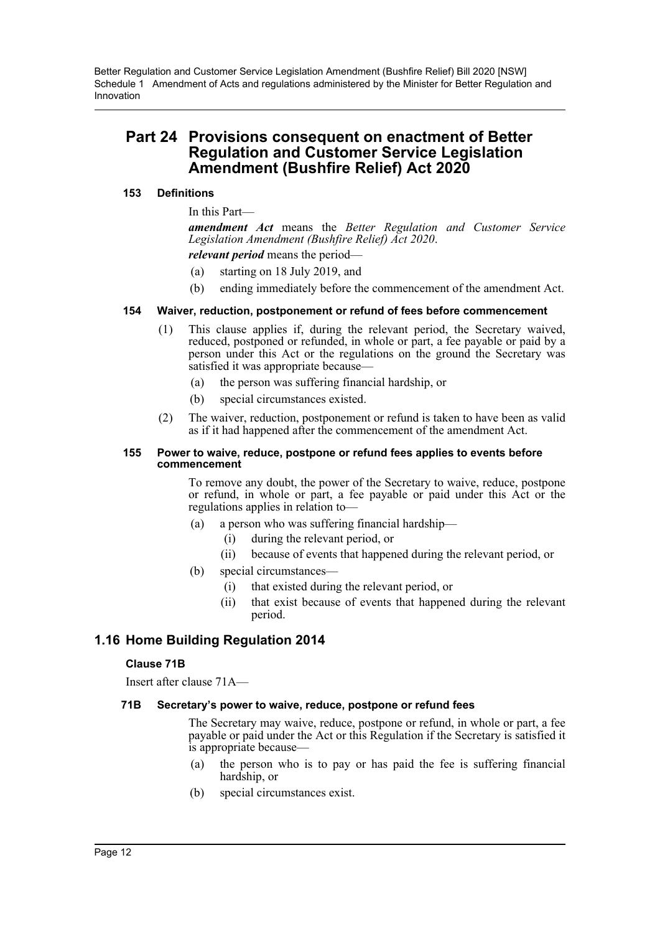## **Part 24 Provisions consequent on enactment of Better Regulation and Customer Service Legislation Amendment (Bushfire Relief) Act 2020**

### **153 Definitions**

### In this Part—

*amendment Act* means the *Better Regulation and Customer Service Legislation Amendment (Bushfire Relief) Act 2020*.

*relevant period* means the period—

- (a) starting on 18 July 2019, and
- (b) ending immediately before the commencement of the amendment Act.

#### **154 Waiver, reduction, postponement or refund of fees before commencement**

- (1) This clause applies if, during the relevant period, the Secretary waived, reduced, postponed or refunded, in whole or part, a fee payable or paid by a person under this Act or the regulations on the ground the Secretary was satisfied it was appropriate because—
	- (a) the person was suffering financial hardship, or
	- (b) special circumstances existed.
- (2) The waiver, reduction, postponement or refund is taken to have been as valid as if it had happened after the commencement of the amendment Act.

#### **155 Power to waive, reduce, postpone or refund fees applies to events before commencement**

To remove any doubt, the power of the Secretary to waive, reduce, postpone or refund, in whole or part, a fee payable or paid under this Act or the regulations applies in relation to—

- (a) a person who was suffering financial hardship—
	- (i) during the relevant period, or
		- (ii) because of events that happened during the relevant period, or
- (b) special circumstances—
	- (i) that existed during the relevant period, or
	- (ii) that exist because of events that happened during the relevant period.

## **1.16 Home Building Regulation 2014**

### **Clause 71B**

Insert after clause 71A—

### **71B Secretary's power to waive, reduce, postpone or refund fees**

The Secretary may waive, reduce, postpone or refund, in whole or part, a fee payable or paid under the Act or this Regulation if the Secretary is satisfied it is appropriate because—

- (a) the person who is to pay or has paid the fee is suffering financial hardship, or
- (b) special circumstances exist.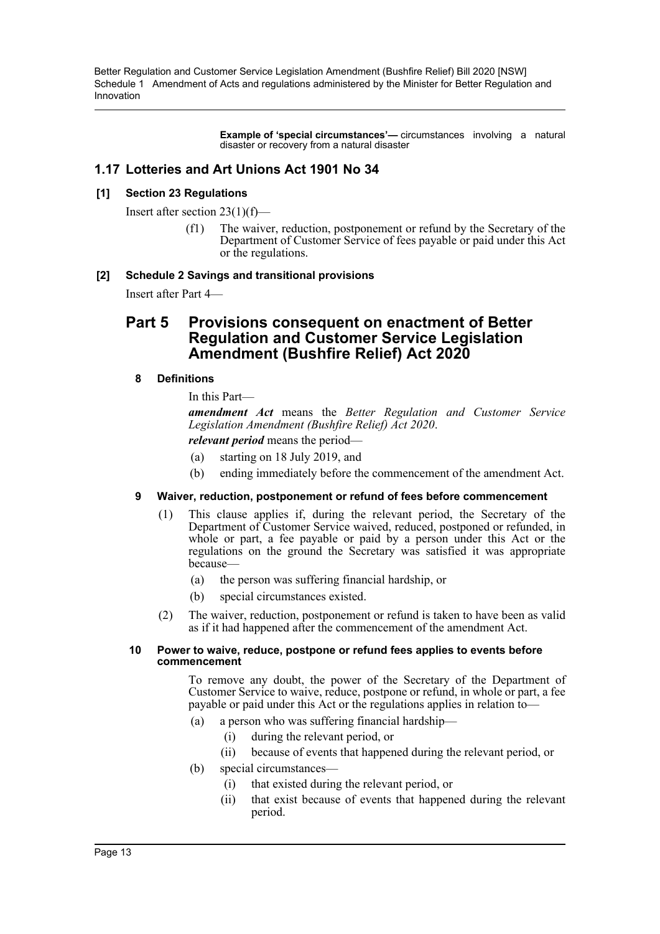> **Example of 'special circumstances'—** circumstances involving a natural disaster or recovery from a natural disaster

## **1.17 Lotteries and Art Unions Act 1901 No 34**

### **[1] Section 23 Regulations**

Insert after section 23(1)(f)—

(f1) The waiver, reduction, postponement or refund by the Secretary of the Department of Customer Service of fees payable or paid under this Act or the regulations.

### **[2] Schedule 2 Savings and transitional provisions**

Insert after Part 4—

## **Part 5 Provisions consequent on enactment of Better Regulation and Customer Service Legislation Amendment (Bushfire Relief) Act 2020**

## **8 Definitions**

In this Part—

*amendment Act* means the *Better Regulation and Customer Service Legislation Amendment (Bushfire Relief) Act 2020*.

*relevant period* means the period—

- (a) starting on 18 July 2019, and
- (b) ending immediately before the commencement of the amendment Act.

### **9 Waiver, reduction, postponement or refund of fees before commencement**

- (1) This clause applies if, during the relevant period, the Secretary of the Department of Customer Service waived, reduced, postponed or refunded, in whole or part, a fee payable or paid by a person under this Act or the regulations on the ground the Secretary was satisfied it was appropriate because—
	- (a) the person was suffering financial hardship, or
	- (b) special circumstances existed.
- (2) The waiver, reduction, postponement or refund is taken to have been as valid as if it had happened after the commencement of the amendment Act.

#### **10 Power to waive, reduce, postpone or refund fees applies to events before commencement**

To remove any doubt, the power of the Secretary of the Department of Customer Service to waive, reduce, postpone or refund, in whole or part, a fee payable or paid under this Act or the regulations applies in relation to—

- (a) a person who was suffering financial hardship—
	- (i) during the relevant period, or
	- (ii) because of events that happened during the relevant period, or
- (b) special circumstances—
	- (i) that existed during the relevant period, or
	- (ii) that exist because of events that happened during the relevant period.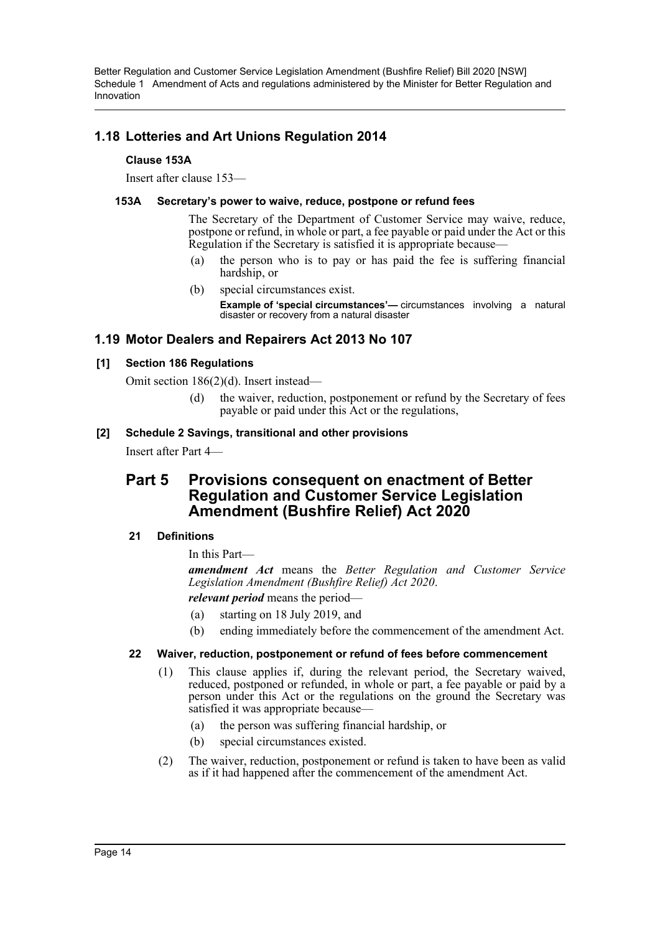## **1.18 Lotteries and Art Unions Regulation 2014**

### **Clause 153A**

Insert after clause 153—

## **153A Secretary's power to waive, reduce, postpone or refund fees**

The Secretary of the Department of Customer Service may waive, reduce, postpone or refund, in whole or part, a fee payable or paid under the Act or this Regulation if the Secretary is satisfied it is appropriate because—

- (a) the person who is to pay or has paid the fee is suffering financial hardship, or
- (b) special circumstances exist.

**Example of 'special circumstances'—** circumstances involving a natural disaster or recovery from a natural disaster

## **1.19 Motor Dealers and Repairers Act 2013 No 107**

## **[1] Section 186 Regulations**

Omit section 186(2)(d). Insert instead—

(d) the waiver, reduction, postponement or refund by the Secretary of fees payable or paid under this Act or the regulations,

## **[2] Schedule 2 Savings, transitional and other provisions**

Insert after Part 4—

## **Part 5 Provisions consequent on enactment of Better Regulation and Customer Service Legislation Amendment (Bushfire Relief) Act 2020**

## **21 Definitions**

In this Part—

*amendment Act* means the *Better Regulation and Customer Service Legislation Amendment (Bushfire Relief) Act 2020*. *relevant period* means the period—

(a) starting on 18 July 2019, and

(b) ending immediately before the commencement of the amendment Act.

### **22 Waiver, reduction, postponement or refund of fees before commencement**

- (1) This clause applies if, during the relevant period, the Secretary waived, reduced, postponed or refunded, in whole or part, a fee payable or paid by a person under this Act or the regulations on the ground the Secretary was satisfied it was appropriate because—
	- (a) the person was suffering financial hardship, or
	- (b) special circumstances existed.
- (2) The waiver, reduction, postponement or refund is taken to have been as valid as if it had happened after the commencement of the amendment Act.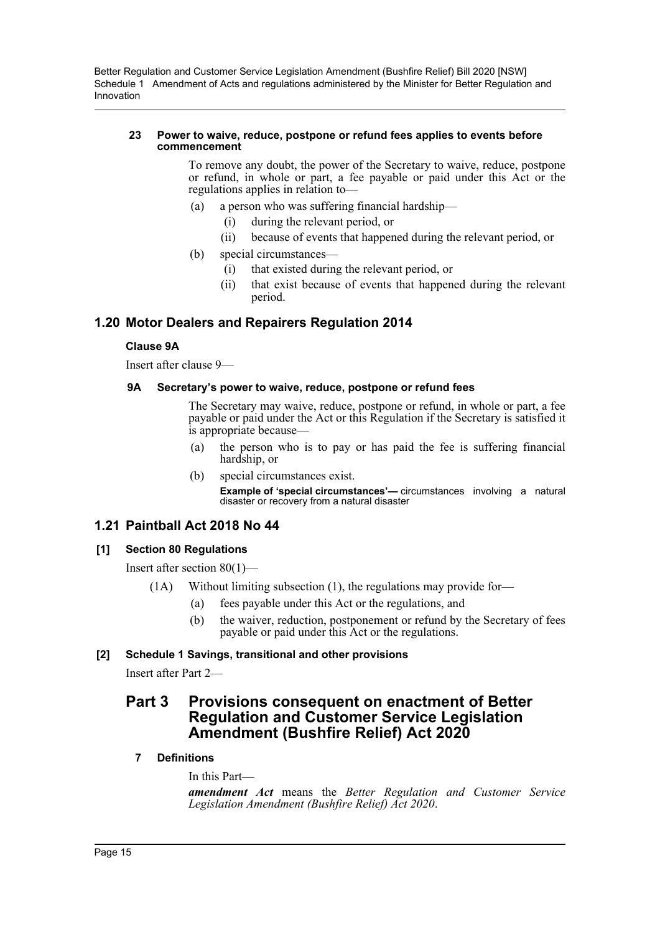#### **23 Power to waive, reduce, postpone or refund fees applies to events before commencement**

To remove any doubt, the power of the Secretary to waive, reduce, postpone or refund, in whole or part, a fee payable or paid under this Act or the regulations applies in relation to—

- (a) a person who was suffering financial hardship—
	- (i) during the relevant period, or
	- (ii) because of events that happened during the relevant period, or
- (b) special circumstances—
	- (i) that existed during the relevant period, or
	- (ii) that exist because of events that happened during the relevant period.

## **1.20 Motor Dealers and Repairers Regulation 2014**

#### **Clause 9A**

Insert after clause 9—

#### **9A Secretary's power to waive, reduce, postpone or refund fees**

The Secretary may waive, reduce, postpone or refund, in whole or part, a fee payable or paid under the Act or this Regulation if the Secretary is satisfied it is appropriate because—

- (a) the person who is to pay or has paid the fee is suffering financial hardship, or
- (b) special circumstances exist. **Example of 'special circumstances'—** circumstances involving a natural disaster or recovery from a natural disaster

## **1.21 Paintball Act 2018 No 44**

### **[1] Section 80 Regulations**

Insert after section 80(1)—

- (1A) Without limiting subsection (1), the regulations may provide for—
	- (a) fees payable under this Act or the regulations, and
	- (b) the waiver, reduction, postponement or refund by the Secretary of fees payable or paid under this Act or the regulations.

### **[2] Schedule 1 Savings, transitional and other provisions**

Insert after Part 2—

## **Part 3 Provisions consequent on enactment of Better Regulation and Customer Service Legislation Amendment (Bushfire Relief) Act 2020**

**7 Definitions**

In this Part—

*amendment Act* means the *Better Regulation and Customer Service Legislation Amendment (Bushfire Relief) Act 2020*.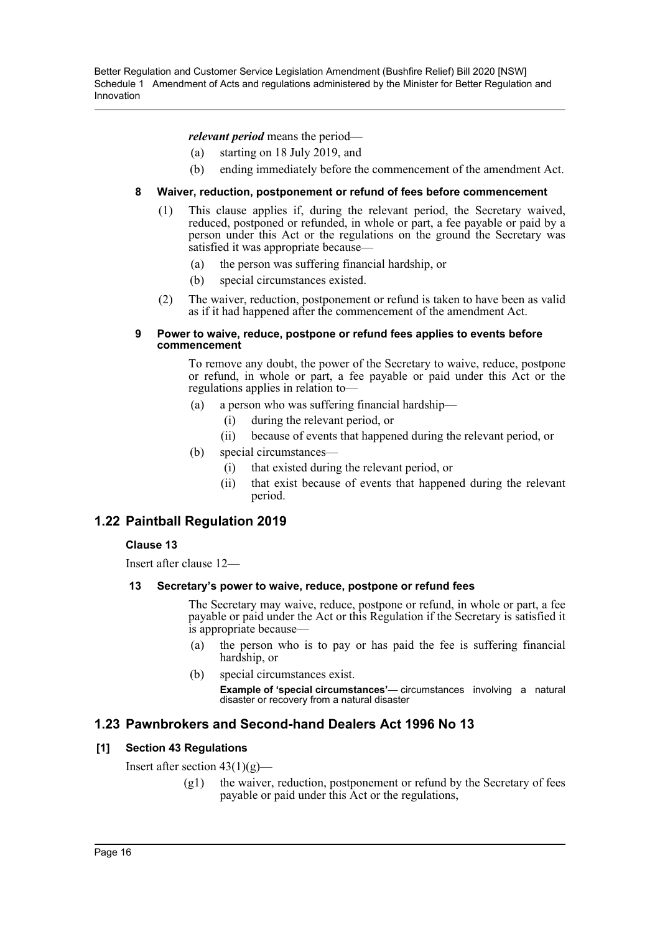*relevant period* means the period—

- (a) starting on 18 July 2019, and
- (b) ending immediately before the commencement of the amendment Act.

## **8 Waiver, reduction, postponement or refund of fees before commencement**

- (1) This clause applies if, during the relevant period, the Secretary waived, reduced, postponed or refunded, in whole or part, a fee payable or paid by a person under this Act or the regulations on the ground the Secretary was satisfied it was appropriate because—
	- (a) the person was suffering financial hardship, or
	- (b) special circumstances existed.
- (2) The waiver, reduction, postponement or refund is taken to have been as valid as if it had happened after the commencement of the amendment Act.

#### **9 Power to waive, reduce, postpone or refund fees applies to events before commencement**

To remove any doubt, the power of the Secretary to waive, reduce, postpone or refund, in whole or part, a fee payable or paid under this Act or the regulations applies in relation to—

- (a) a person who was suffering financial hardship—
	- (i) during the relevant period, or
	- (ii) because of events that happened during the relevant period, or
- (b) special circumstances—
	- (i) that existed during the relevant period, or
	- (ii) that exist because of events that happened during the relevant period.

## **1.22 Paintball Regulation 2019**

## **Clause 13**

Insert after clause 12—

### **13 Secretary's power to waive, reduce, postpone or refund fees**

The Secretary may waive, reduce, postpone or refund, in whole or part, a fee payable or paid under the Act or this Regulation if the Secretary is satisfied it is appropriate because—

- (a) the person who is to pay or has paid the fee is suffering financial hardship, or
- (b) special circumstances exist.

**Example of 'special circumstances'—** circumstances involving a natural disaster or recovery from a natural disaster

## **1.23 Pawnbrokers and Second-hand Dealers Act 1996 No 13**

## **[1] Section 43 Regulations**

Insert after section  $43(1)(g)$ —

 $(g1)$  the waiver, reduction, postponement or refund by the Secretary of fees payable or paid under this Act or the regulations,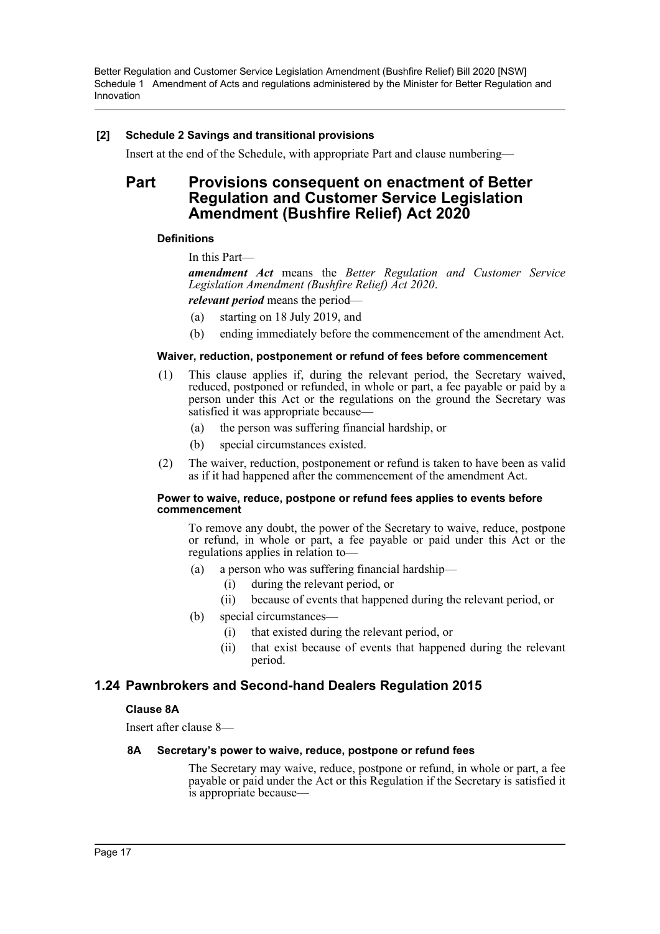### **[2] Schedule 2 Savings and transitional provisions**

Insert at the end of the Schedule, with appropriate Part and clause numbering—

## **Part Provisions consequent on enactment of Better Regulation and Customer Service Legislation Amendment (Bushfire Relief) Act 2020**

### **Definitions**

In this Part—

*amendment Act* means the *Better Regulation and Customer Service Legislation Amendment (Bushfire Relief) Act 2020*.

*relevant period* means the period—

- (a) starting on 18 July 2019, and
- (b) ending immediately before the commencement of the amendment Act.

#### **Waiver, reduction, postponement or refund of fees before commencement**

- (1) This clause applies if, during the relevant period, the Secretary waived, reduced, postponed or refunded, in whole or part, a fee payable or paid by a person under this Act or the regulations on the ground the Secretary was satisfied it was appropriate because—
	- (a) the person was suffering financial hardship, or
	- (b) special circumstances existed.
- (2) The waiver, reduction, postponement or refund is taken to have been as valid as if it had happened after the commencement of the amendment Act.

#### **Power to waive, reduce, postpone or refund fees applies to events before commencement**

To remove any doubt, the power of the Secretary to waive, reduce, postpone or refund, in whole or part, a fee payable or paid under this Act or the regulations applies in relation to—

- (a) a person who was suffering financial hardship—
	- (i) during the relevant period, or
	- (ii) because of events that happened during the relevant period, or
- (b) special circumstances—
	- (i) that existed during the relevant period, or
	- (ii) that exist because of events that happened during the relevant period.

## **1.24 Pawnbrokers and Second-hand Dealers Regulation 2015**

### **Clause 8A**

Insert after clause 8—

### **8A Secretary's power to waive, reduce, postpone or refund fees**

The Secretary may waive, reduce, postpone or refund, in whole or part, a fee payable or paid under the Act or this Regulation if the Secretary is satisfied it is appropriate because—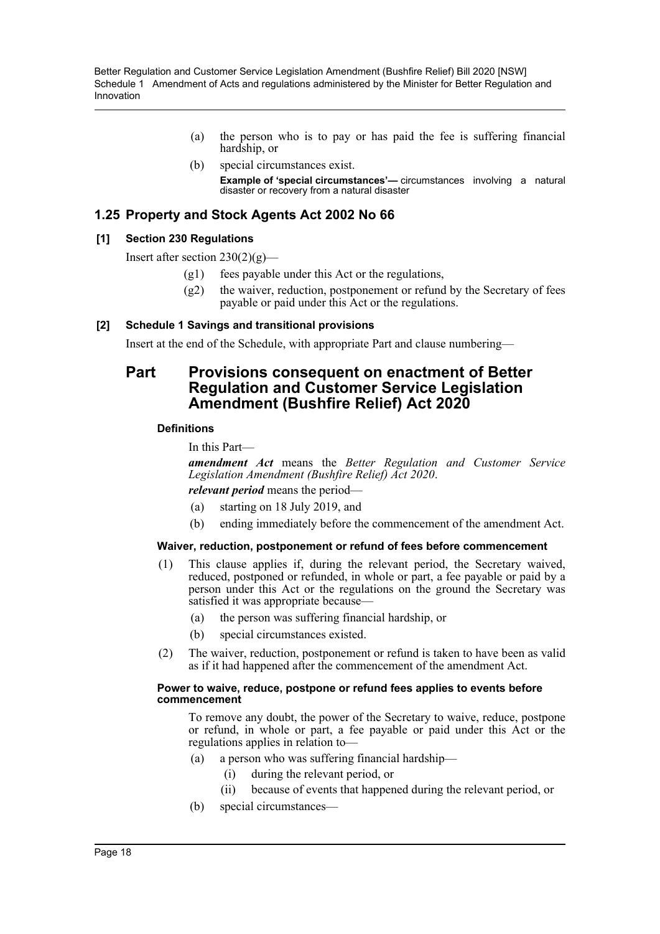- (a) the person who is to pay or has paid the fee is suffering financial hardship, or
- (b) special circumstances exist. **Example of 'special circumstances'—** circumstances involving a natural disaster or recovery from a natural disaster

## **1.25 Property and Stock Agents Act 2002 No 66**

### **[1] Section 230 Regulations**

Insert after section  $230(2)(g)$ —

- $(g1)$  fees payable under this Act or the regulations,
- $(g2)$  the waiver, reduction, postponement or refund by the Secretary of fees payable or paid under this Act or the regulations.

### **[2] Schedule 1 Savings and transitional provisions**

Insert at the end of the Schedule, with appropriate Part and clause numbering—

## **Part Provisions consequent on enactment of Better Regulation and Customer Service Legislation Amendment (Bushfire Relief) Act 2020**

#### **Definitions**

In this Part—

*amendment Act* means the *Better Regulation and Customer Service Legislation Amendment (Bushfire Relief) Act 2020*.

*relevant period* means the period—

- (a) starting on 18 July 2019, and
- (b) ending immediately before the commencement of the amendment Act.

#### **Waiver, reduction, postponement or refund of fees before commencement**

- (1) This clause applies if, during the relevant period, the Secretary waived, reduced, postponed or refunded, in whole or part, a fee payable or paid by a person under this Act or the regulations on the ground the Secretary was satisfied it was appropriate because—
	- (a) the person was suffering financial hardship, or
	- (b) special circumstances existed.
- (2) The waiver, reduction, postponement or refund is taken to have been as valid as if it had happened after the commencement of the amendment Act.

#### **Power to waive, reduce, postpone or refund fees applies to events before commencement**

To remove any doubt, the power of the Secretary to waive, reduce, postpone or refund, in whole or part, a fee payable or paid under this Act or the regulations applies in relation to—

- (a) a person who was suffering financial hardship—
	- (i) during the relevant period, or
	- (ii) because of events that happened during the relevant period, or
- (b) special circumstances—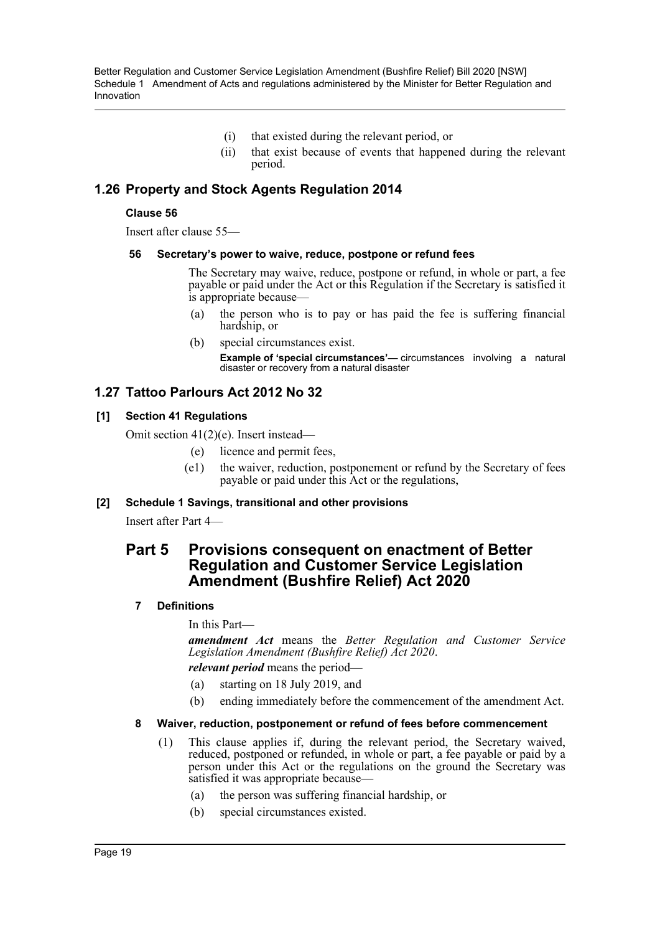- (i) that existed during the relevant period, or
- (ii) that exist because of events that happened during the relevant period.

## **1.26 Property and Stock Agents Regulation 2014**

#### **Clause 56**

Insert after clause 55—

#### **56 Secretary's power to waive, reduce, postpone or refund fees**

The Secretary may waive, reduce, postpone or refund, in whole or part, a fee payable or paid under the Act or this Regulation if the Secretary is satisfied it is appropriate because—

- (a) the person who is to pay or has paid the fee is suffering financial hardship, or
- (b) special circumstances exist.

**Example of 'special circumstances'—** circumstances involving a natural disaster or recovery from a natural disaster

## **1.27 Tattoo Parlours Act 2012 No 32**

#### **[1] Section 41 Regulations**

Omit section 41(2)(e). Insert instead—

- (e) licence and permit fees,
- (e1) the waiver, reduction, postponement or refund by the Secretary of fees payable or paid under this Act or the regulations,

### **[2] Schedule 1 Savings, transitional and other provisions**

Insert after Part 4—

## **Part 5 Provisions consequent on enactment of Better Regulation and Customer Service Legislation Amendment (Bushfire Relief) Act 2020**

### **7 Definitions**

In this Part—

*amendment Act* means the *Better Regulation and Customer Service Legislation Amendment (Bushfire Relief) Act 2020*.

*relevant period* means the period—

- (a) starting on 18 July 2019, and
- (b) ending immediately before the commencement of the amendment Act.

#### **8 Waiver, reduction, postponement or refund of fees before commencement**

- (1) This clause applies if, during the relevant period, the Secretary waived, reduced, postponed or refunded, in whole or part, a fee payable or paid by a person under this Act or the regulations on the ground the Secretary was satisfied it was appropriate because—
	- (a) the person was suffering financial hardship, or
	- (b) special circumstances existed.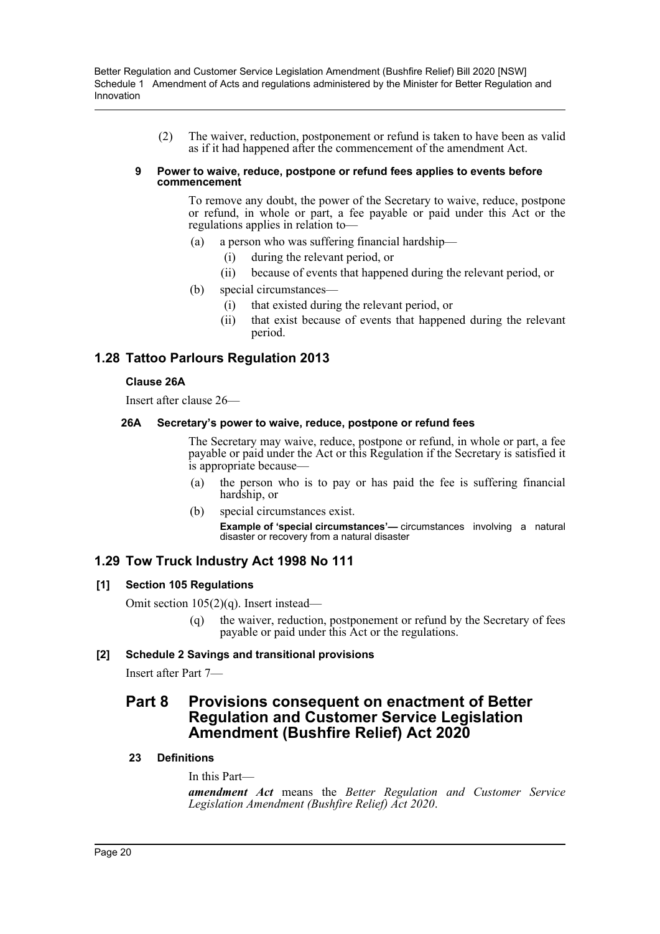(2) The waiver, reduction, postponement or refund is taken to have been as valid as if it had happened after the commencement of the amendment Act.

#### **9 Power to waive, reduce, postpone or refund fees applies to events before commencement**

To remove any doubt, the power of the Secretary to waive, reduce, postpone or refund, in whole or part, a fee payable or paid under this Act or the regulations applies in relation to—

- (a) a person who was suffering financial hardship—
	- (i) during the relevant period, or
	- (ii) because of events that happened during the relevant period, or
- (b) special circumstances—
	- (i) that existed during the relevant period, or
	- (ii) that exist because of events that happened during the relevant period.

## **1.28 Tattoo Parlours Regulation 2013**

### **Clause 26A**

Insert after clause 26—

## **26A Secretary's power to waive, reduce, postpone or refund fees**

The Secretary may waive, reduce, postpone or refund, in whole or part, a fee payable or paid under the Act or this Regulation if the Secretary is satisfied it is appropriate because—

- (a) the person who is to pay or has paid the fee is suffering financial hardship, or
- (b) special circumstances exist.

**Example of 'special circumstances'—** circumstances involving a natural disaster or recovery from a natural disaster

## **1.29 Tow Truck Industry Act 1998 No 111**

## **[1] Section 105 Regulations**

Omit section 105(2)(q). Insert instead—

(q) the waiver, reduction, postponement or refund by the Secretary of fees payable or paid under this Act or the regulations.

## **[2] Schedule 2 Savings and transitional provisions**

Insert after Part 7—

## **Part 8 Provisions consequent on enactment of Better Regulation and Customer Service Legislation Amendment (Bushfire Relief) Act 2020**

## **23 Definitions**

In this Part—

*amendment Act* means the *Better Regulation and Customer Service Legislation Amendment (Bushfire Relief) Act 2020*.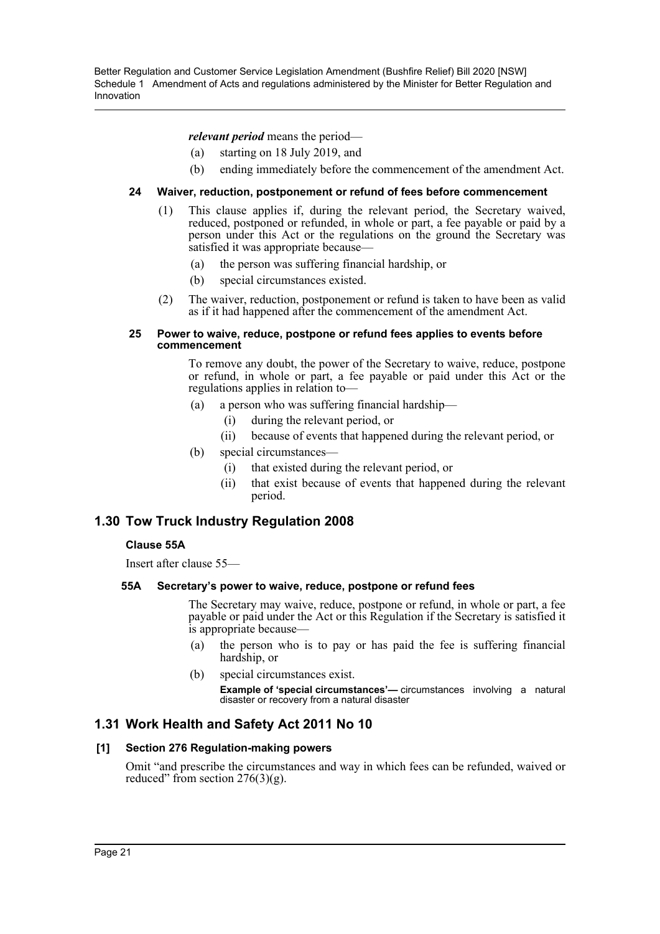*relevant period* means the period—

- (a) starting on 18 July 2019, and
- (b) ending immediately before the commencement of the amendment Act.

## **24 Waiver, reduction, postponement or refund of fees before commencement**

- (1) This clause applies if, during the relevant period, the Secretary waived, reduced, postponed or refunded, in whole or part, a fee payable or paid by a person under this Act or the regulations on the ground the Secretary was satisfied it was appropriate because—
	- (a) the person was suffering financial hardship, or
	- (b) special circumstances existed.
- (2) The waiver, reduction, postponement or refund is taken to have been as valid as if it had happened after the commencement of the amendment Act.

#### **25 Power to waive, reduce, postpone or refund fees applies to events before commencement**

To remove any doubt, the power of the Secretary to waive, reduce, postpone or refund, in whole or part, a fee payable or paid under this Act or the regulations applies in relation to—

- (a) a person who was suffering financial hardship—
	- (i) during the relevant period, or
	- (ii) because of events that happened during the relevant period, or
- (b) special circumstances—
	- (i) that existed during the relevant period, or
	- (ii) that exist because of events that happened during the relevant period.

## **1.30 Tow Truck Industry Regulation 2008**

## **Clause 55A**

Insert after clause 55—

### **55A Secretary's power to waive, reduce, postpone or refund fees**

The Secretary may waive, reduce, postpone or refund, in whole or part, a fee payable or paid under the Act or this Regulation if the Secretary is satisfied it is appropriate because—

- (a) the person who is to pay or has paid the fee is suffering financial hardship, or
- (b) special circumstances exist.

**Example of 'special circumstances'—** circumstances involving a natural disaster or recovery from a natural disaster

## **1.31 Work Health and Safety Act 2011 No 10**

## **[1] Section 276 Regulation-making powers**

Omit "and prescribe the circumstances and way in which fees can be refunded, waived or reduced" from section  $276(3)(g)$ .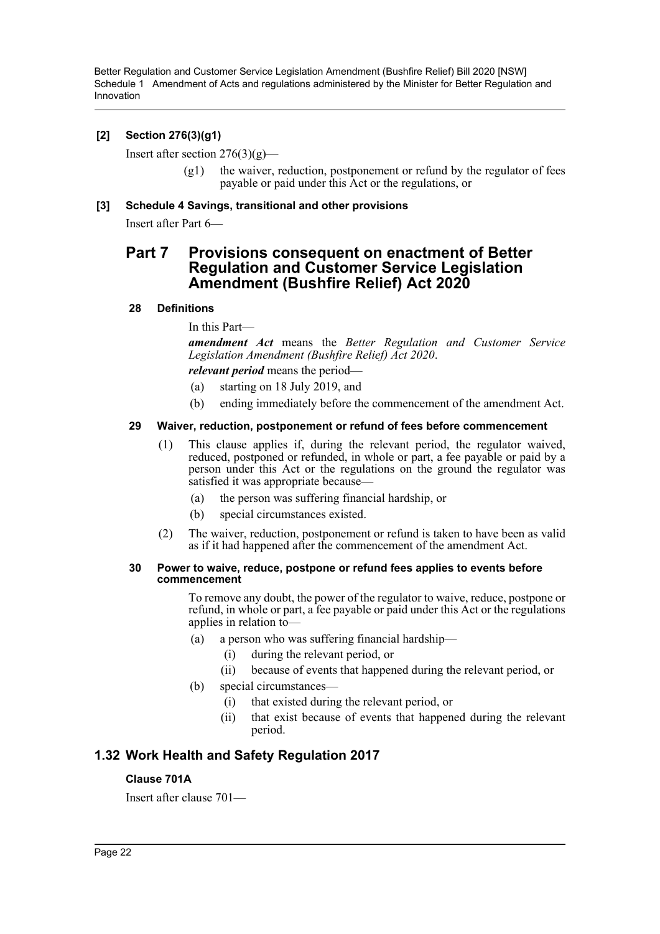## **[2] Section 276(3)(g1)**

Insert after section  $276(3)(g)$ —

 $(g1)$  the waiver, reduction, postponement or refund by the regulator of fees payable or paid under this Act or the regulations, or

### **[3] Schedule 4 Savings, transitional and other provisions**

Insert after Part 6—

## **Part 7 Provisions consequent on enactment of Better Regulation and Customer Service Legislation Amendment (Bushfire Relief) Act 2020**

### **28 Definitions**

In this Part—

*amendment Act* means the *Better Regulation and Customer Service Legislation Amendment (Bushfire Relief) Act 2020*.

## *relevant period* means the period—

- (a) starting on 18 July 2019, and
- (b) ending immediately before the commencement of the amendment Act.

### **29 Waiver, reduction, postponement or refund of fees before commencement**

- (1) This clause applies if, during the relevant period, the regulator waived, reduced, postponed or refunded, in whole or part, a fee payable or paid by a person under this Act or the regulations on the ground the regulator was satisfied it was appropriate because—
	- (a) the person was suffering financial hardship, or
	- (b) special circumstances existed.
- (2) The waiver, reduction, postponement or refund is taken to have been as valid as if it had happened after the commencement of the amendment Act.

#### **30 Power to waive, reduce, postpone or refund fees applies to events before commencement**

To remove any doubt, the power of the regulator to waive, reduce, postpone or refund, in whole or part, a fee payable or paid under this Act or the regulations applies in relation to—

- (a) a person who was suffering financial hardship—
	- (i) during the relevant period, or
	- (ii) because of events that happened during the relevant period, or
- (b) special circumstances—
	- (i) that existed during the relevant period, or
	- (ii) that exist because of events that happened during the relevant period.

## **1.32 Work Health and Safety Regulation 2017**

### **Clause 701A**

Insert after clause 701—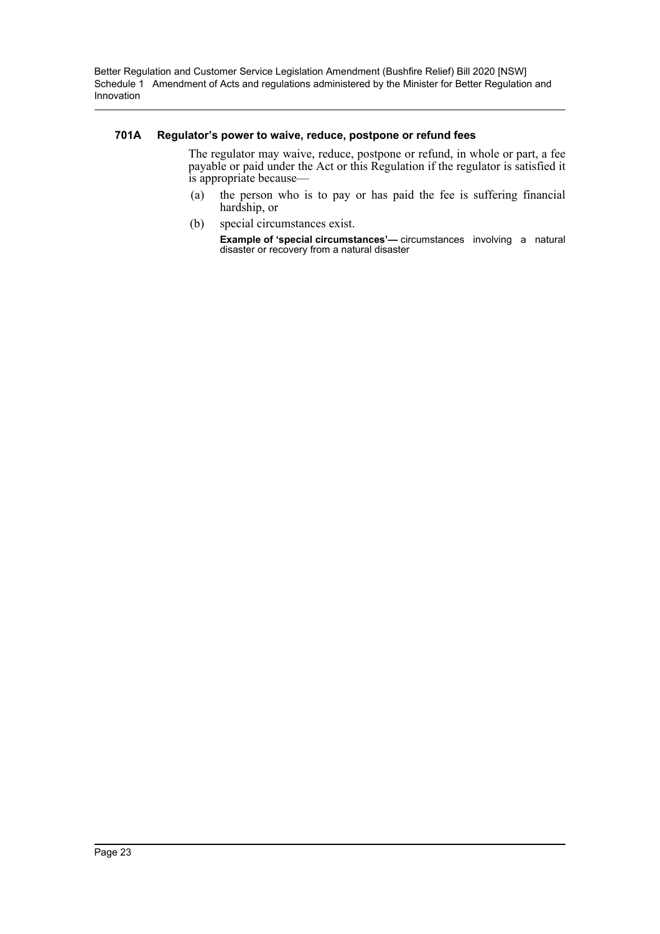#### **701A Regulator's power to waive, reduce, postpone or refund fees**

The regulator may waive, reduce, postpone or refund, in whole or part, a fee payable or paid under the Act or this Regulation if the regulator is satisfied it is appropriate because—

- (a) the person who is to pay or has paid the fee is suffering financial hardship, or
- (b) special circumstances exist.

**Example of 'special circumstances'—** circumstances involving a natural disaster or recovery from a natural disaster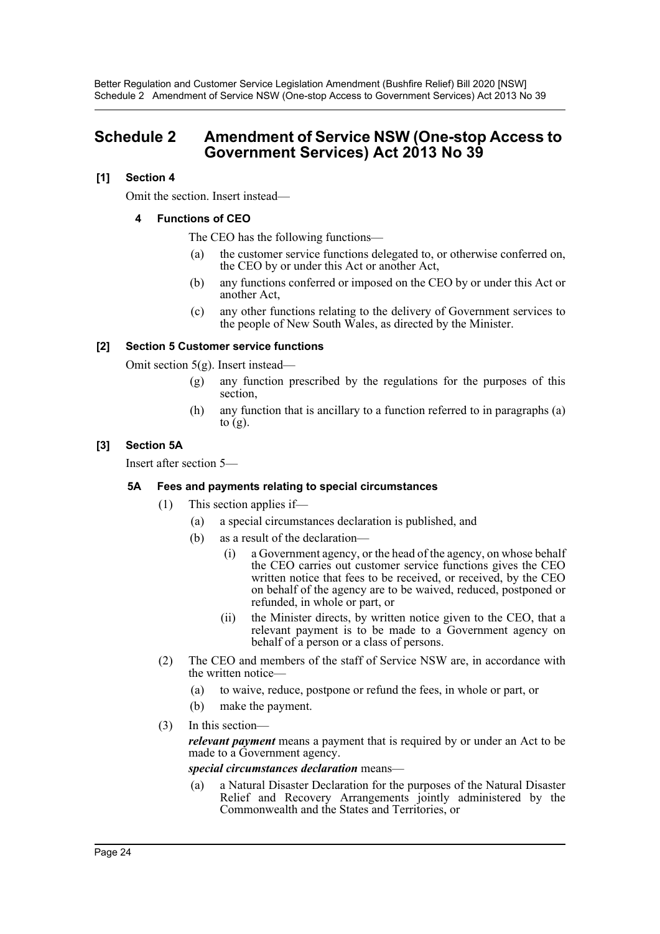Better Regulation and Customer Service Legislation Amendment (Bushfire Relief) Bill 2020 [NSW] Schedule 2 Amendment of Service NSW (One-stop Access to Government Services) Act 2013 No 39

## <span id="page-24-0"></span>**Schedule 2 Amendment of Service NSW (One-stop Access to Government Services) Act 2013 No 39**

## **[1] Section 4**

Omit the section. Insert instead—

## **4 Functions of CEO**

The CEO has the following functions—

- (a) the customer service functions delegated to, or otherwise conferred on, the CEO by or under this Act or another Act,
- (b) any functions conferred or imposed on the CEO by or under this Act or another Act,
- (c) any other functions relating to the delivery of Government services to the people of New South Wales, as directed by the Minister.

## **[2] Section 5 Customer service functions**

Omit section 5(g). Insert instead—

- (g) any function prescribed by the regulations for the purposes of this section,
- (h) any function that is ancillary to a function referred to in paragraphs (a) to  $(g)$ .

### **[3] Section 5A**

Insert after section 5—

### **5A Fees and payments relating to special circumstances**

- (1) This section applies if—
	- (a) a special circumstances declaration is published, and
	- (b) as a result of the declaration—
		- (i) a Government agency, or the head of the agency, on whose behalf the CEO carries out customer service functions gives the CEO written notice that fees to be received, or received, by the CEO on behalf of the agency are to be waived, reduced, postponed or refunded, in whole or part, or
		- (ii) the Minister directs, by written notice given to the CEO, that a relevant payment is to be made to a Government agency on behalf of a person or a class of persons.
- (2) The CEO and members of the staff of Service NSW are, in accordance with the written notice—
	- (a) to waive, reduce, postpone or refund the fees, in whole or part, or
	- (b) make the payment.
- (3) In this section—

*relevant payment* means a payment that is required by or under an Act to be made to a Government agency.

*special circumstances declaration* means—

(a) a Natural Disaster Declaration for the purposes of the Natural Disaster Relief and Recovery Arrangements jointly administered by the Commonwealth and the States and Territories, or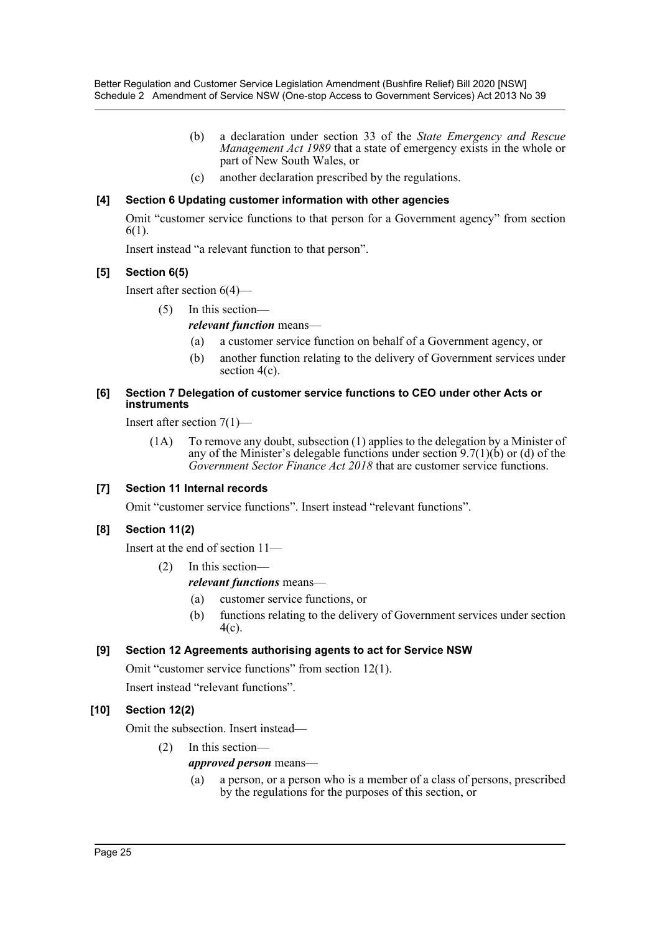- (b) a declaration under section 33 of the *State Emergency and Rescue Management Act 1989* that a state of emergency exists in the whole or part of New South Wales, or
- (c) another declaration prescribed by the regulations.

## **[4] Section 6 Updating customer information with other agencies**

Omit "customer service functions to that person for a Government agency" from section 6(1).

Insert instead "a relevant function to that person".

## **[5] Section 6(5)**

Insert after section 6(4)—

- (5) In this section
	- *relevant function* means—
		- (a) a customer service function on behalf of a Government agency, or
		- (b) another function relating to the delivery of Government services under section 4(c).

### **[6] Section 7 Delegation of customer service functions to CEO under other Acts or instruments**

Insert after section 7(1)—

(1A) To remove any doubt, subsection (1) applies to the delegation by a Minister of any of the Minister's delegable functions under section  $9.7(1)(b)$  or (d) of the *Government Sector Finance Act 2018* that are customer service functions.

## **[7] Section 11 Internal records**

Omit "customer service functions". Insert instead "relevant functions".

## **[8] Section 11(2)**

Insert at the end of section 11—

(2) In this section—

## *relevant functions* means—

- (a) customer service functions, or
- (b) functions relating to the delivery of Government services under section 4(c).

## **[9] Section 12 Agreements authorising agents to act for Service NSW**

Omit "customer service functions" from section 12(1).

Insert instead "relevant functions".

## **[10] Section 12(2)**

Omit the subsection. Insert instead—

(2) In this section—

## *approved person* means—

(a) a person, or a person who is a member of a class of persons, prescribed by the regulations for the purposes of this section, or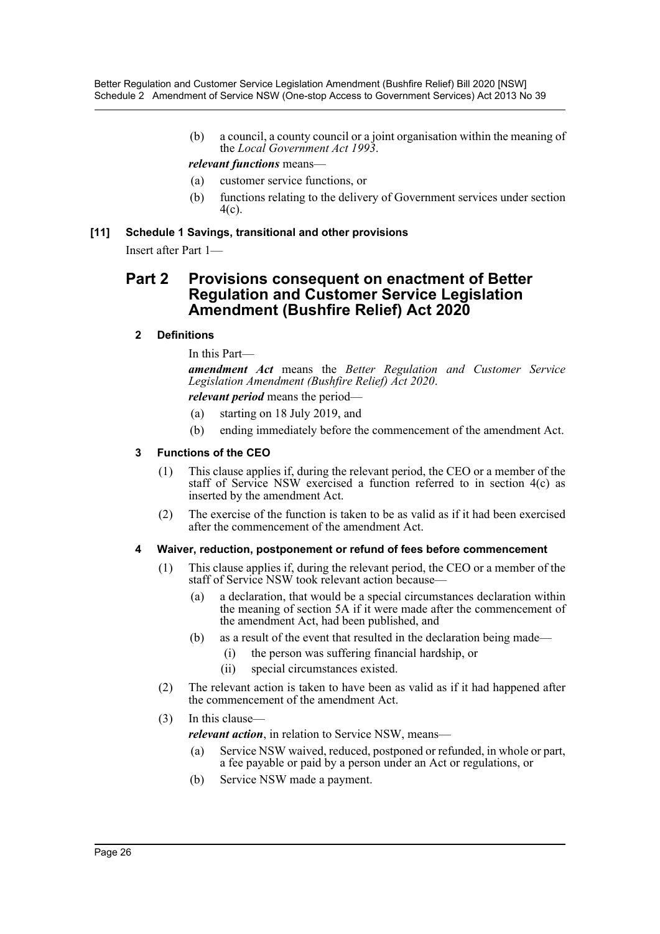(b) a council, a county council or a joint organisation within the meaning of the *Local Government Act 1993*.

## *relevant functions* means—

- (a) customer service functions, or
- (b) functions relating to the delivery of Government services under section 4(c).

**[11] Schedule 1 Savings, transitional and other provisions**

Insert after Part 1—

## **Part 2 Provisions consequent on enactment of Better Regulation and Customer Service Legislation Amendment (Bushfire Relief) Act 2020**

## **2 Definitions**

In this Part—

*amendment Act* means the *Better Regulation and Customer Service Legislation Amendment (Bushfire Relief) Act 2020*.

*relevant period* means the period—

- (a) starting on 18 July 2019, and
- (b) ending immediately before the commencement of the amendment Act.

## **3 Functions of the CEO**

- (1) This clause applies if, during the relevant period, the CEO or a member of the staff of Service NSW exercised a function referred to in section 4(c) as inserted by the amendment Act.
- (2) The exercise of the function is taken to be as valid as if it had been exercised after the commencement of the amendment Act.

### **4 Waiver, reduction, postponement or refund of fees before commencement**

- (1) This clause applies if, during the relevant period, the CEO or a member of the staff of Service NSW took relevant action because—
	- (a) a declaration, that would be a special circumstances declaration within the meaning of section 5A if it were made after the commencement of the amendment Act, had been published, and
	- (b) as a result of the event that resulted in the declaration being made—
		- (i) the person was suffering financial hardship, or
		- (ii) special circumstances existed.
- (2) The relevant action is taken to have been as valid as if it had happened after the commencement of the amendment Act.

## (3) In this clause—

*relevant action*, in relation to Service NSW, means—

- (a) Service NSW waived, reduced, postponed or refunded, in whole or part, a fee payable or paid by a person under an Act or regulations, or
- (b) Service NSW made a payment.